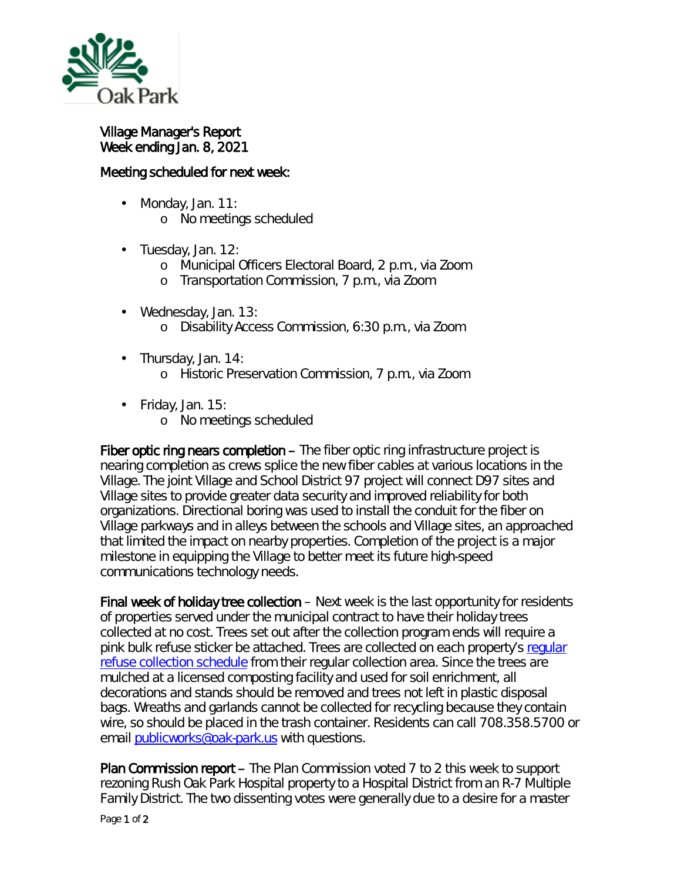

Village Manager's Report Week ending Jan. 8, 2021

## Meeting scheduled for next week:

- $\mathcal{L}^{\text{max}}$ Monday, Jan. 11:
	- o No meetings scheduled
- . Tuesday, Jan. 12:
	- o Municipal Officers Electoral Board, 2 p.m., via Zoom
	- o Transportation Commission, 7 p.m., via Zoom
- Wednesday, Jan. 13:  $\blacksquare$ o Disability Access Commission, 6:30 p.m., via Zoom
- Thursday, Jan. 14:  $\mathbf{r}^{\prime}$ 
	- o Historic Preservation Commission, 7 p.m., via Zoom
- ¥, Friday, Jan. 15:
	- o No meetings scheduled

Fiber optic ring nears completion – The fiber optic ring infrastructure project is nearing completion as crews splice the new fiber cables at various locations in the Village. The joint Village and School District 97 project will connect D97 sites and Village sites to provide greater data security and improved reliability for both organizations. Directional boring was used to install the conduit for the fiber on Village parkways and in alleys between the schools and Village sites, an approached that limited the impact on nearby properties. Completion of the project is a major milestone in equipping the Village to better meet its future high-speed communications technology needs.

Final week of holiday tree collection – Next week is the last opportunity for residents of properties served under the municipal contract to have their holiday trees collected at no cost. Trees set out after the collection program ends will require a pink bulk refuse sticker be attached. Trees are collected on each property's regular [refuse collection schedule](https://www.oak-park.us/village-services/refuse-recycling) from their regular collection area. Since the trees are mulched at a licensed composting facility and used for soil enrichment, all decorations and stands should be removed and trees not left in plastic disposal bags. Wreaths and garlands cannot be collected for recycling because they contain wire, so should be placed in the trash container. Residents can call 708.358.5700 or email [publicworks@oak-park.us](mailto:publicworks@oak-park.us) with questions.

Plan Commission report – The Plan Commission voted 7 to 2 this week to support rezoning Rush Oak Park Hospital property to a Hospital District from an R-7 Multiple Family District. The two dissenting votes were generally due to a desire for a master